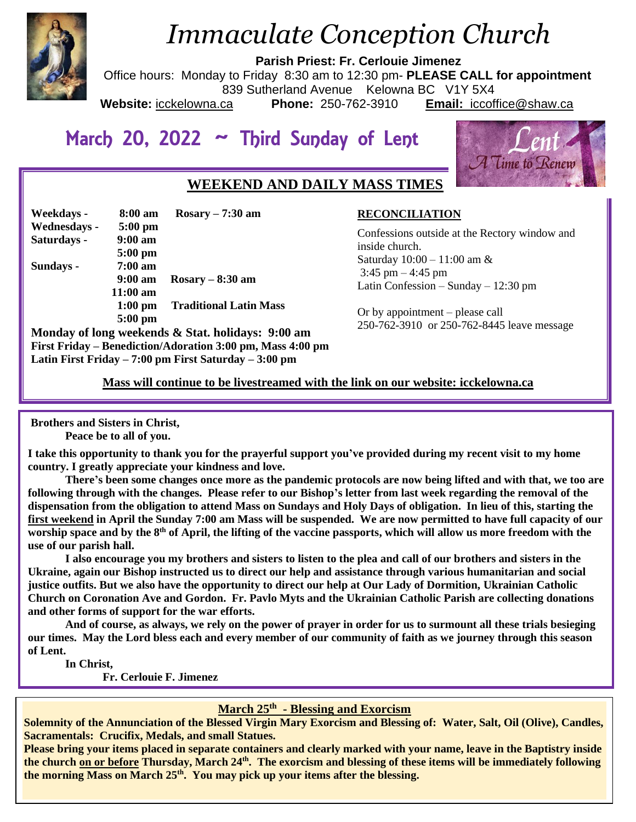

# *Immaculate Conception Church*

**Parish Priest: Fr. Cerlouie Jimenez**

Office hours: Monday to Friday 8:30 am to 12:30 pm- **PLEASE CALL for appointment** 839 Sutherland Avenue Kelowna BC V1Y 5X4

**Website:** icckelowna.ca **Phone:** 250-762-3910 **Email:** iccoffice@shaw.ca

# March 20, 2022 ~ Third Sunday of Lent



# **WEEKEND AND DAILY MASS TIMES**

| Weekdays -   | 8:00 am           | $Rosary - 7:30$ am            |
|--------------|-------------------|-------------------------------|
| Wednesdays - | $5:00$ pm         |                               |
| Saturdays -  | $9:00 \text{ am}$ |                               |
|              | $5:00$ pm         |                               |
| Sundays -    | $7:00 \text{ am}$ |                               |
|              | $9:00 \text{ am}$ | $Rosary - 8:30$ am            |
|              | $11:00$ am        |                               |
|              | $1:00$ pm         | <b>Traditional Latin Mass</b> |
|              | $5:00$ pm         |                               |

**Monday of long weekends & Stat. holidays: 9:00 am First Friday – Benediction/Adoration 3:00 pm, Mass 4:00 pm Latin First Friday – 7:00 pm First Saturday – 3:00 pm** 

# **RECONCILIATION**

Confessions outside at the Rectory window and inside church. Saturday 10:00 – 11:00 am &  $3:45$  pm  $-4:45$  pm Latin Confession – Sunday – 12:30 pm

Or by appointment – please call 250-762-3910 or 250-762-8445 leave message

 **Mass will continue to be livestreamed with the link on our website: icckelowna.ca**

**Brothers and Sisters in Christ,**

**Peace be to all of you.**

**I take this opportunity to thank you for the prayerful support you've provided during my recent visit to my home country. I greatly appreciate your kindness and love.**

**There's been some changes once more as the pandemic protocols are now being lifted and with that, we too are following through with the changes. Please refer to our Bishop's letter from last week regarding the removal of the dispensation from the obligation to attend Mass on Sundays and Holy Days of obligation. In lieu of this, starting the first weekend in April the Sunday 7:00 am Mass will be suspended. We are now permitted to have full capacity of our worship space and by the 8th of April, the lifting of the vaccine passports, which will allow us more freedom with the use of our parish hall.** 

**I also encourage you my brothers and sisters to listen to the plea and call of our brothers and sisters in the Ukraine, again our Bishop instructed us to direct our help and assistance through various humanitarian and social justice outfits. But we also have the opportunity to direct our help at Our Lady of Dormition, Ukrainian Catholic Church on Coronation Ave and Gordon. Fr. Pavlo Myts and the Ukrainian Catholic Parish are collecting donations and other forms of support for the war efforts.**

**And of course, as always, we rely on the power of prayer in order for us to surmount all these trials besieging our times. May the Lord bless each and every member of our community of faith as we journey through this season of Lent.**

**In Christ,** 

**Fr. Cerlouie F. Jimenez**

**March 25th - Blessing and Exorcism**

**Solemnity of the Annunciation of the Blessed Virgin Mary Exorcism and Blessing of: Water, Salt, Oil (Olive), Candles, Sacramentals: Crucifix, Medals, and small Statues.**

**Please bring your items placed in separate containers and clearly marked with your name, leave in the Baptistry inside the church on or before Thursday, March 24th. The exorcism and blessing of these items will be immediately following the morning Mass on March 25th. You may pick up your items after the blessing.**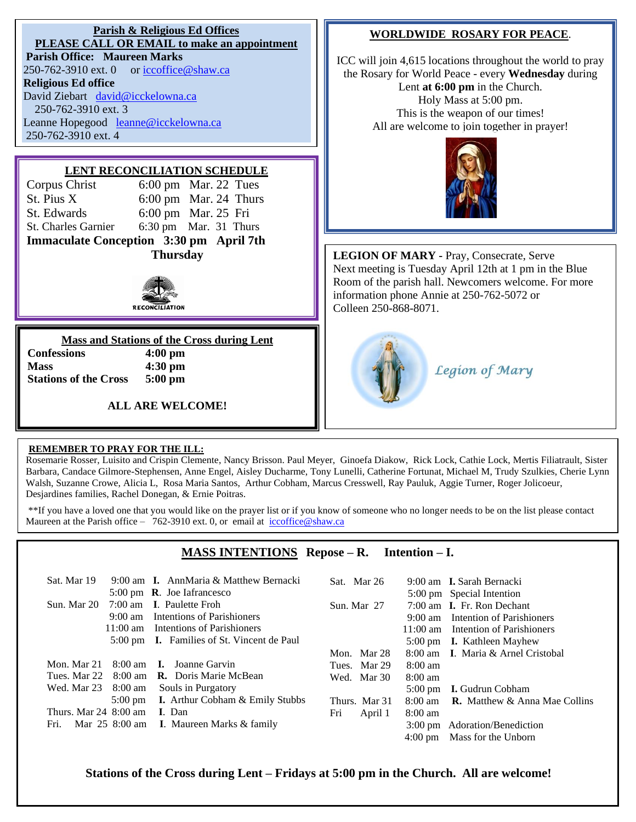| Parish & Religious Ed Offices<br><b>PLEASE CALL OR EMAIL to make an appointment</b><br><b>Parish Office: Maureen Marks</b><br>250-762-3910 ext. 0<br>or iccoffice@shaw.ca<br><b>Religious Ed office</b><br>David Ziebart david@icckelowna.ca<br>250-762-3910 ext. 3<br>Leanne Hopegood leanne@icckelowna.ca<br>250-762-3910 ext. 4 | <b>WORLDWIDE ROSARY FOR PEACE.</b><br>ICC will join 4,615 locations throughout the world to pray<br>the Rosary for World Peace - every Wednesday during<br>Lent at 6:00 pm in the Church.<br>Holy Mass at 5:00 pm.<br>This is the weapon of our times!<br>All are welcome to join together in prayer! |  |  |
|------------------------------------------------------------------------------------------------------------------------------------------------------------------------------------------------------------------------------------------------------------------------------------------------------------------------------------|-------------------------------------------------------------------------------------------------------------------------------------------------------------------------------------------------------------------------------------------------------------------------------------------------------|--|--|
| LENT RECONCILIATION SCHEDULE<br>Corpus Christ<br>$6:00 \text{ pm}$ Mar. 22 Tues<br>St. Pius X<br>6:00 pm Mar. 24 Thurs<br>St. Edwards<br>6:00 pm Mar. 25 Fri<br>St. Charles Garnier<br>6:30 pm Mar. 31 Thurs<br>Immaculate Conception 3:30 pm April 7th<br><b>Thursday</b>                                                         | <b>LEGION OF MARY - Pray, Consecrate, Serve</b>                                                                                                                                                                                                                                                       |  |  |
| <b>RECONCILIATION</b><br><b>Mass and Stations of the Cross during Lent</b>                                                                                                                                                                                                                                                         | Next meeting is Tuesday April 12th at 1 pm in the Blue<br>Room of the parish hall. Newcomers welcome. For more<br>information phone Annie at 250-762-5072 or<br>Colleen 250-868-8071.                                                                                                                 |  |  |
| <b>Confessions</b><br>$4:00$ pm<br>$4:30$ pm<br><b>Mass</b><br><b>Stations of the Cross</b><br>$5:00$ pm<br><b>ALL ARE WELCOME!</b>                                                                                                                                                                                                | Legion of Mary                                                                                                                                                                                                                                                                                        |  |  |

### **REMEMBER TO PRAY FOR THE ILL:**

l,

Rosemarie Rosser, Luisito and Crispin Clemente, Nancy Brisson. Paul Meyer, Ginoefa Diakow, Rick Lock, Cathie Lock, Mertis Filiatrault, Sister Barbara, Candace Gilmore-Stephensen, Anne Engel, Aisley Ducharme, Tony Lunelli, Catherine Fortunat, Michael M, Trudy Szulkies, Cherie Lynn Walsh, Suzanne Crowe, Alicia L, Rosa Maria Santos, Arthur Cobham, Marcus Cresswell, Ray Pauluk, Aggie Turner, Roger Jolicoeur, Desjardines families, Rachel Donegan, & Ernie Poitras.

\*\*If you have a loved one that you would like on the prayer list or if you know of someone who no longer needs to be on the list please contact Maureen at the Parish office –  $762-3910$  ext. 0, or email at  $\frac{iccoffice@shaw.ca}{iccoffice@shaw.ca}$ 

# **MASS INTENTIONS Repose – R. Intention – I.**

| Sat. Mar 19                                 | 9:00 am <b>I.</b> AnnMaria & Matthew Bernacki     | Sat. Mar 26    |                   | 9:00 am <b>I.</b> Sarah Bernacki             |
|---------------------------------------------|---------------------------------------------------|----------------|-------------------|----------------------------------------------|
|                                             | $5:00 \text{ pm}$ R. Joe Iafrancesco              |                |                   | 5:00 pm Special Intention                    |
| Sun. Mar 20 7:00 am I. Paulette Froh        |                                                   | Sun. Mar 27    |                   | $7:00$ am I. Fr. Ron Dechant                 |
|                                             | 9:00 am Intentions of Parishioners                |                |                   | 9:00 am Intention of Parishioners            |
|                                             | 11:00 am Intentions of Parishioners               |                |                   | 11:00 am Intention of Parishioners           |
|                                             | 5:00 pm <b>I.</b> Families of St. Vincent de Paul |                |                   | 5:00 pm <b>I.</b> Kathleen Mayhew            |
|                                             |                                                   | Mon. Mar 28    |                   | 8:00 am I. Maria & Arnel Cristobal           |
| Mon. Mar 21 8:00 am <b>I.</b> Joanne Garvin |                                                   | Tues. Mar 29   | $8:00 \text{ am}$ |                                              |
|                                             | Tues. Mar 22 8:00 am <b>R.</b> Doris Marie McBean | Wed. Mar 30    | $8:00 \text{ am}$ |                                              |
| Wed. Mar $23 \quad 8:00$ am                 | Souls in Purgatory                                |                |                   | 5:00 pm <b>I.</b> Gudrun Cobham              |
| $5:00 \text{ pm}$                           | <b>I.</b> Arthur Cobham & Emily Stubbs            | Thurs. Mar 31  |                   | 8:00 am <b>R.</b> Matthew & Anna Mae Collins |
| Thurs. Mar $24\,8:00$ am                    | I. Dan                                            | Fri<br>April 1 | $8:00 \text{ am}$ |                                              |
|                                             | Fri. Mar 25 8:00 am I. Maureen Marks & family     |                |                   | 3:00 pm Adoration/Benediction                |
|                                             |                                                   |                |                   | 4:00 pm Mass for the Unborn                  |

**Stations of the Cross during Lent – Fridays at 5:00 pm in the Church. All are welcome!**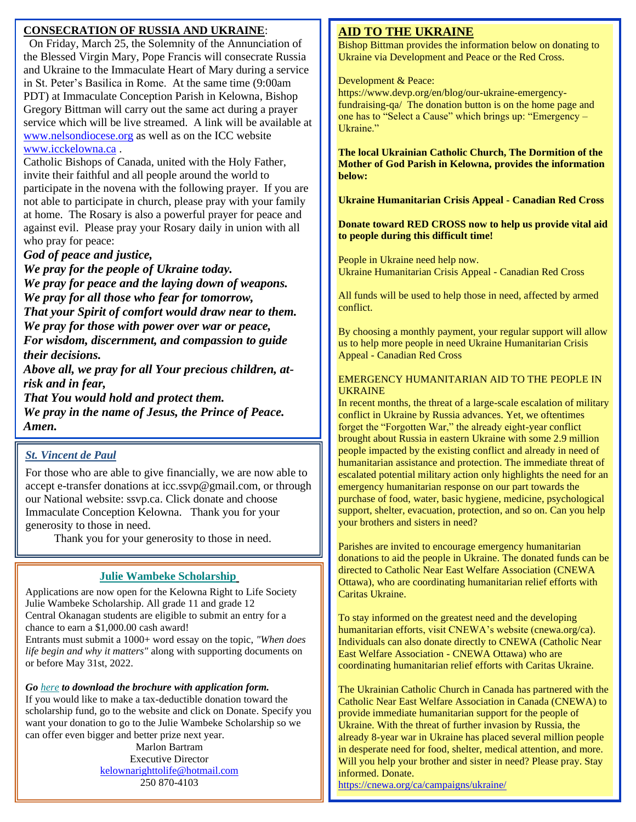## **CONSECRATION OF RUSSIA AND UKRAINE**:

On Friday, March 25, the Solemnity of the Annunciation of the Blessed Virgin Mary, Pope Francis will consecrate Russia and Ukraine to the Immaculate Heart of Mary during a service in St. Peter's Basilica in Rome. At the same time (9:00am PDT) at Immaculate Conception Parish in Kelowna, Bishop Gregory Bittman will carry out the same act during a prayer service which will be live streamed. A link will be available at [www.nelsondiocese.org](http://www.nelsondiocese.org/) as well as on the ICC website [www.icckelowna.ca](http://www.icckelowna.ca/) .

Catholic Bishops of Canada, united with the Holy Father, invite their faithful and all people around the world to participate in the novena with the following prayer. If you are not able to participate in church, please pray with your family at home. The Rosary is also a powerful prayer for peace and against evil. Please pray your Rosary daily in union with all who pray for peace:

#### *God of peace and justice,*

*We pray for the people of Ukraine today. We pray for peace and the laying down of weapons. We pray for all those who fear for tomorrow, That your Spirit of comfort would draw near to them. We pray for those with power over war or peace, For wisdom, discernment, and compassion to guide their decisions.*

*Above all, we pray for all Your precious children, atrisk and in fear,*

*That You would hold and protect them. We pray in the name of Jesus, the Prince of Peace. Amen.*

#### *St. Vincent de Paul*

For those who are able to give financially, we are now able to accept e-transfer donations at icc.ssvp@gmail.com, or through our National website: ssvp.ca. Click donate and choose Immaculate Conception Kelowna. Thank you for your generosity to those in need.

Thank you for your generosity to those in need.

#### **Julie Wambeke Scholarship**

Applications are now open for the Kelowna Right to Life Society Julie Wambeke Scholarship. All grade 11 and grade 12 Central Okanagan students are eligible to submit an entry for a chance to earn a \$1,000.00 cash award!

Entrants must submit a 1000+ word essay on the topic, *"When does life begin and why it matters"* along with supporting documents on or before May 31st, 2022.

#### *Go [here](https://lifecollective.us10.list-manage.com/track/click?u=1bd4b24a2566fe4eca8867388&id=e5b3cfff2d&e=5dfe79357d) to download the brochure with application form.*

If you would like to make a tax-deductible donation toward the scholarship fund, go to the website and click on Donate. Specify you want your donation to go to the Julie Wambeke Scholarship so we can offer even bigger and better prize next year.

> Marlon Bartram Executive Director [kelownarighttolife@hotmail.com](mailto:kelownarighttolife@hotmail.com) 250 870-4103

## **AID TO THE UKRAINE**

Bishop Bittman provides the information below on donating to Ukraine via Development and Peace or the Red Cross.

Development & Peace:

https://www.devp.org/en/blog/our-ukraine-emergencyfundraising-qa/ The donation button is on the home page and one has to "Select a Cause" which brings up: "Emergency – Ukraine."

**The local Ukrainian Catholic Church, The Dormition of the Mother of God Parish in Kelowna, provides the information below:**

**Ukraine Humanitarian Crisis Appeal - Canadian Red Cross**

**Donate toward RED CROSS now to help us provide vital aid to people during this difficult time!**

People in Ukraine need help now. Ukraine Humanitarian Crisis Appeal - Canadian Red Cross

All funds will be used to help those in need, affected by armed conflict.

By choosing a monthly payment, your regular support will allow us to help more people in need Ukraine Humanitarian Crisis Appeal - Canadian Red Cross

#### EMERGENCY HUMANITARIAN AID TO THE PEOPLE IN UKRAINE

In recent months, the threat of a large-scale escalation of military conflict in Ukraine by Russia advances. Yet, we oftentimes forget the "Forgotten War," the already eight-year conflict brought about Russia in eastern Ukraine with some 2.9 million people impacted by the existing conflict and already in need of humanitarian assistance and protection. The immediate threat of escalated potential military action only highlights the need for an emergency humanitarian response on our part towards the purchase of food, water, basic hygiene, medicine, psychological support, shelter, evacuation, protection, and so on. Can you help your brothers and sisters in need?

Parishes are invited to encourage emergency humanitarian donations to aid the people in Ukraine. The donated funds can be directed to Catholic Near East Welfare Association (CNEWA Ottawa), who are coordinating humanitarian relief efforts with Caritas Ukraine.

To stay informed on the greatest need and the developing humanitarian efforts, visit CNEWA's website (cnewa.org/ca). Individuals can also donate directly to CNEWA (Catholic Near East Welfare Association - CNEWA Ottawa) who are coordinating humanitarian relief efforts with Caritas Ukraine.

The Ukrainian Catholic Church in Canada has partnered with the Catholic Near East Welfare Association in Canada (CNEWA) to provide immediate humanitarian support for the people of Ukraine. With the threat of further invasion by Russia, the already 8-year war in Ukraine has placed several million people in desperate need for food, shelter, medical attention, and more. Will you help your brother and sister in need? Please pray. Stay informed. Donate.

<https://cnewa.org/ca/campaigns/ukraine/>